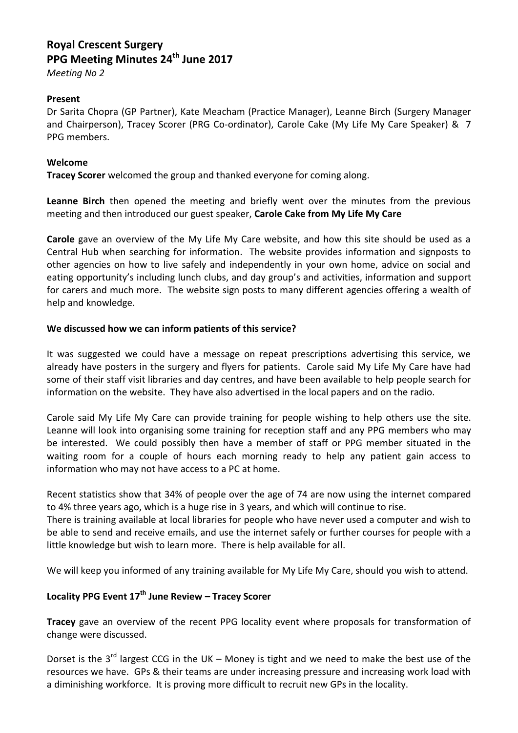# **Royal Crescent Surgery PPG Meeting Minutes 24th June 2017**

*Meeting No 2*

## **Present**

Dr Sarita Chopra (GP Partner), Kate Meacham (Practice Manager), Leanne Birch (Surgery Manager and Chairperson), Tracey Scorer (PRG Co-ordinator), Carole Cake (My Life My Care Speaker) & 7 PPG members.

#### **Welcome**

**Tracey Scorer** welcomed the group and thanked everyone for coming along.

**Leanne Birch** then opened the meeting and briefly went over the minutes from the previous meeting and then introduced our guest speaker, **Carole Cake from My Life My Care**

**Carole** gave an overview of the My Life My Care website, and how this site should be used as a Central Hub when searching for information. The website provides information and signposts to other agencies on how to live safely and independently in your own home, advice on social and eating opportunity's including lunch clubs, and day group's and activities, information and support for carers and much more. The website sign posts to many different agencies offering a wealth of help and knowledge.

#### **We discussed how we can inform patients of this service?**

It was suggested we could have a message on repeat prescriptions advertising this service, we already have posters in the surgery and flyers for patients. Carole said My Life My Care have had some of their staff visit libraries and day centres, and have been available to help people search for information on the website. They have also advertised in the local papers and on the radio.

Carole said My Life My Care can provide training for people wishing to help others use the site. Leanne will look into organising some training for reception staff and any PPG members who may be interested. We could possibly then have a member of staff or PPG member situated in the waiting room for a couple of hours each morning ready to help any patient gain access to information who may not have access to a PC at home.

Recent statistics show that 34% of people over the age of 74 are now using the internet compared to 4% three years ago, which is a huge rise in 3 years, and which will continue to rise.

There is training available at local libraries for people who have never used a computer and wish to be able to send and receive emails, and use the internet safely or further courses for people with a little knowledge but wish to learn more. There is help available for all.

We will keep you informed of any training available for My Life My Care, should you wish to attend.

# **Locality PPG Event 17th June Review – Tracey Scorer**

**Tracey** gave an overview of the recent PPG locality event where proposals for transformation of change were discussed.

Dorset is the  $3^{rd}$  largest CCG in the UK – Money is tight and we need to make the best use of the resources we have. GPs & their teams are under increasing pressure and increasing work load with a diminishing workforce. It is proving more difficult to recruit new GPs in the locality.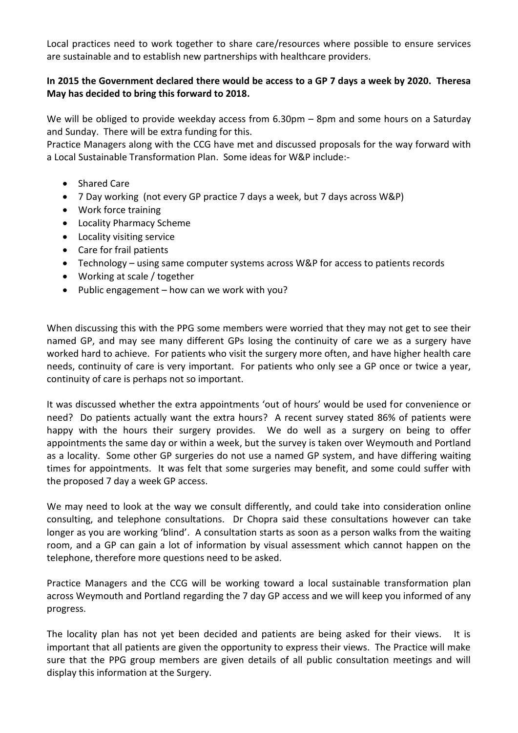Local practices need to work together to share care/resources where possible to ensure services are sustainable and to establish new partnerships with healthcare providers.

## **In 2015 the Government declared there would be access to a GP 7 days a week by 2020. Theresa May has decided to bring this forward to 2018.**

We will be obliged to provide weekday access from 6.30pm – 8pm and some hours on a Saturday and Sunday. There will be extra funding for this.

Practice Managers along with the CCG have met and discussed proposals for the way forward with a Local Sustainable Transformation Plan. Some ideas for W&P include:-

- Shared Care
- 7 Day working (not every GP practice 7 days a week, but 7 days across W&P)
- Work force training
- Locality Pharmacy Scheme
- Locality visiting service
- Care for frail patients
- Technology using same computer systems across W&P for access to patients records
- Working at scale / together
- Public engagement how can we work with you?

When discussing this with the PPG some members were worried that they may not get to see their named GP, and may see many different GPs losing the continuity of care we as a surgery have worked hard to achieve. For patients who visit the surgery more often, and have higher health care needs, continuity of care is very important. For patients who only see a GP once or twice a year, continuity of care is perhaps not so important.

It was discussed whether the extra appointments 'out of hours' would be used for convenience or need? Do patients actually want the extra hours? A recent survey stated 86% of patients were happy with the hours their surgery provides. We do well as a surgery on being to offer appointments the same day or within a week, but the survey is taken over Weymouth and Portland as a locality. Some other GP surgeries do not use a named GP system, and have differing waiting times for appointments. It was felt that some surgeries may benefit, and some could suffer with the proposed 7 day a week GP access.

We may need to look at the way we consult differently, and could take into consideration online consulting, and telephone consultations. Dr Chopra said these consultations however can take longer as you are working 'blind'. A consultation starts as soon as a person walks from the waiting room, and a GP can gain a lot of information by visual assessment which cannot happen on the telephone, therefore more questions need to be asked.

Practice Managers and the CCG will be working toward a local sustainable transformation plan across Weymouth and Portland regarding the 7 day GP access and we will keep you informed of any progress.

The locality plan has not yet been decided and patients are being asked for their views. It is important that all patients are given the opportunity to express their views. The Practice will make sure that the PPG group members are given details of all public consultation meetings and will display this information at the Surgery.